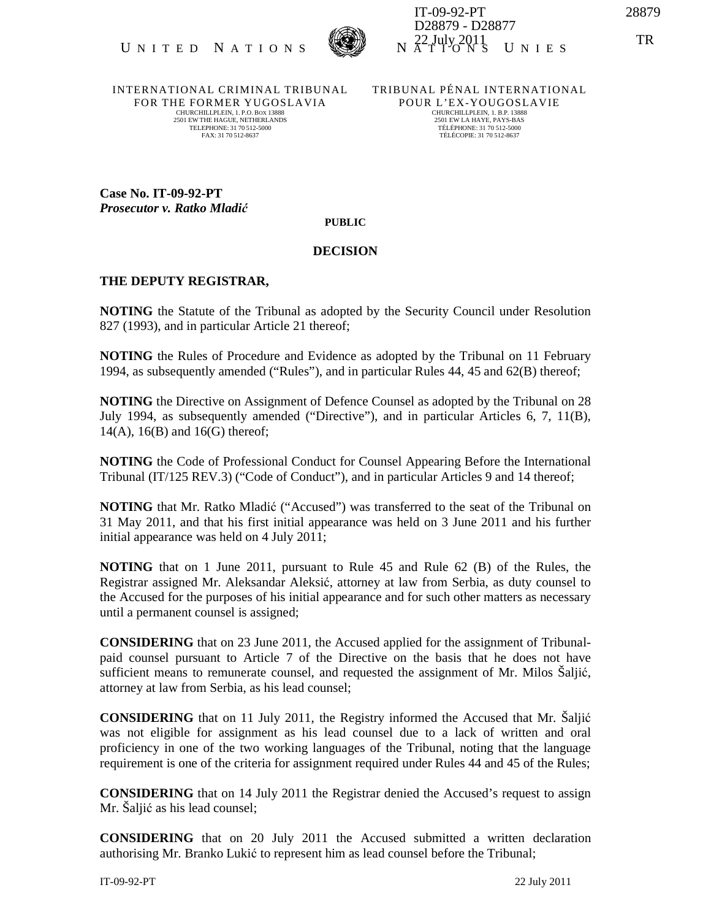

INTERNATIONAL CRIMINAL TRIBUNAL FOR THE FORMER YUGOSLAVIA CHURCHILLPLEIN, 1. P.O. BOX 13888 2501 EW THE HAGUE, NETHERLANDS TELEPHONE: 31 70 512-5000 FAX: 31 70 512-8637

TRIBUNAL PÉNAL INTERNATIONAL POUR L'EX-YOUGOSLAVIE CHURCHILLPLEIN, 1. B.P. 13888 2501 EW LA HAYE, PAYS-BAS TÉLÉPHONE: 31 70 512-5000 TÉLÉCOPIE: 31 70 512-8637

**Case No. IT-09-92-PT**  *Prosecutor v. Ratko Mladi*ć

**PUBLIC**

## **DECISION**

## **THE DEPUTY REGISTRAR,**

**NOTING** the Statute of the Tribunal as adopted by the Security Council under Resolution 827 (1993), and in particular Article 21 thereof;

**NOTING** the Rules of Procedure and Evidence as adopted by the Tribunal on 11 February 1994, as subsequently amended ("Rules"), and in particular Rules 44, 45 and 62(B) thereof;

**NOTING** the Directive on Assignment of Defence Counsel as adopted by the Tribunal on 28 July 1994, as subsequently amended ("Directive"), and in particular Articles 6, 7, 11(B),  $14(A)$ ,  $16(B)$  and  $16(G)$  thereof;

**NOTING** the Code of Professional Conduct for Counsel Appearing Before the International Tribunal (IT/125 REV.3) ("Code of Conduct"), and in particular Articles 9 and 14 thereof;

**NOTING** that Mr. Ratko Mladić ("Accused") was transferred to the seat of the Tribunal on 31 May 2011, and that his first initial appearance was held on 3 June 2011 and his further initial appearance was held on 4 July 2011;

**NOTING** that on 1 June 2011, pursuant to Rule 45 and Rule 62 (B) of the Rules, the Registrar assigned Mr. Aleksandar Aleksić, attorney at law from Serbia, as duty counsel to the Accused for the purposes of his initial appearance and for such other matters as necessary until a permanent counsel is assigned;

**CONSIDERING** that on 23 June 2011, the Accused applied for the assignment of Tribunalpaid counsel pursuant to Article 7 of the Directive on the basis that he does not have sufficient means to remunerate counsel, and requested the assignment of Mr. Milos Šaljić, attorney at law from Serbia, as his lead counsel;

**CONSIDERING** that on 11 July 2011, the Registry informed the Accused that Mr. Šaljić was not eligible for assignment as his lead counsel due to a lack of written and oral proficiency in one of the two working languages of the Tribunal, noting that the language requirement is one of the criteria for assignment required under Rules 44 and 45 of the Rules;

**CONSIDERING** that on 14 July 2011 the Registrar denied the Accused's request to assign Mr. Šaljić as his lead counsel;

**CONSIDERING** that on 20 July 2011 the Accused submitted a written declaration authorising Mr. Branko Lukić to represent him as lead counsel before the Tribunal;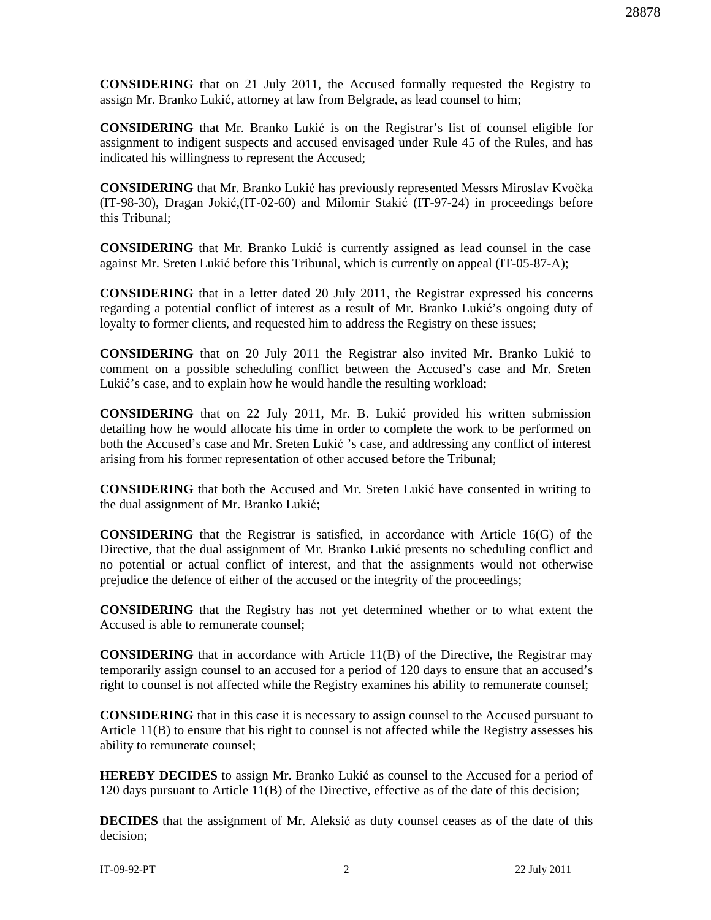**CONSIDERING** that on 21 July 2011, the Accused formally requested the Registry to assign Mr. Branko Lukić, attorney at law from Belgrade, as lead counsel to him;

**CONSIDERING** that Mr. Branko Lukić is on the Registrar's list of counsel eligible for assignment to indigent suspects and accused envisaged under Rule 45 of the Rules, and has indicated his willingness to represent the Accused;

**CONSIDERING** that Mr. Branko Lukić has previously represented Messrs Miroslav Kvočka (IT-98-30), Dragan Jokić,(IT-02-60) and Milomir Stakić (IT-97-24) in proceedings before this Tribunal;

**CONSIDERING** that Mr. Branko Lukić is currently assigned as lead counsel in the case against Mr. Sreten Lukić before this Tribunal, which is currently on appeal (IT-05-87-A);

**CONSIDERING** that in a letter dated 20 July 2011, the Registrar expressed his concerns regarding a potential conflict of interest as a result of Mr. Branko Lukić's ongoing duty of loyalty to former clients, and requested him to address the Registry on these issues;

**CONSIDERING** that on 20 July 2011 the Registrar also invited Mr. Branko Lukić to comment on a possible scheduling conflict between the Accused's case and Mr. Sreten Lukić's case, and to explain how he would handle the resulting workload;

**CONSIDERING** that on 22 July 2011, Mr. B. Lukić provided his written submission detailing how he would allocate his time in order to complete the work to be performed on both the Accused's case and Mr. Sreten Lukić 's case, and addressing any conflict of interest arising from his former representation of other accused before the Tribunal;

**CONSIDERING** that both the Accused and Mr. Sreten Lukić have consented in writing to the dual assignment of Mr. Branko Lukić;

**CONSIDERING** that the Registrar is satisfied, in accordance with Article 16(G) of the Directive, that the dual assignment of Mr. Branko Lukić presents no scheduling conflict and no potential or actual conflict of interest, and that the assignments would not otherwise prejudice the defence of either of the accused or the integrity of the proceedings;

**CONSIDERING** that the Registry has not yet determined whether or to what extent the Accused is able to remunerate counsel;

**CONSIDERING** that in accordance with Article 11(B) of the Directive, the Registrar may temporarily assign counsel to an accused for a period of 120 days to ensure that an accused's right to counsel is not affected while the Registry examines his ability to remunerate counsel;

**CONSIDERING** that in this case it is necessary to assign counsel to the Accused pursuant to Article 11(B) to ensure that his right to counsel is not affected while the Registry assesses his ability to remunerate counsel;

**HEREBY DECIDES** to assign Mr. Branko Lukić as counsel to the Accused for a period of 120 days pursuant to Article 11(B) of the Directive, effective as of the date of this decision;

**DECIDES** that the assignment of Mr. Aleksić as duty counsel ceases as of the date of this decision;